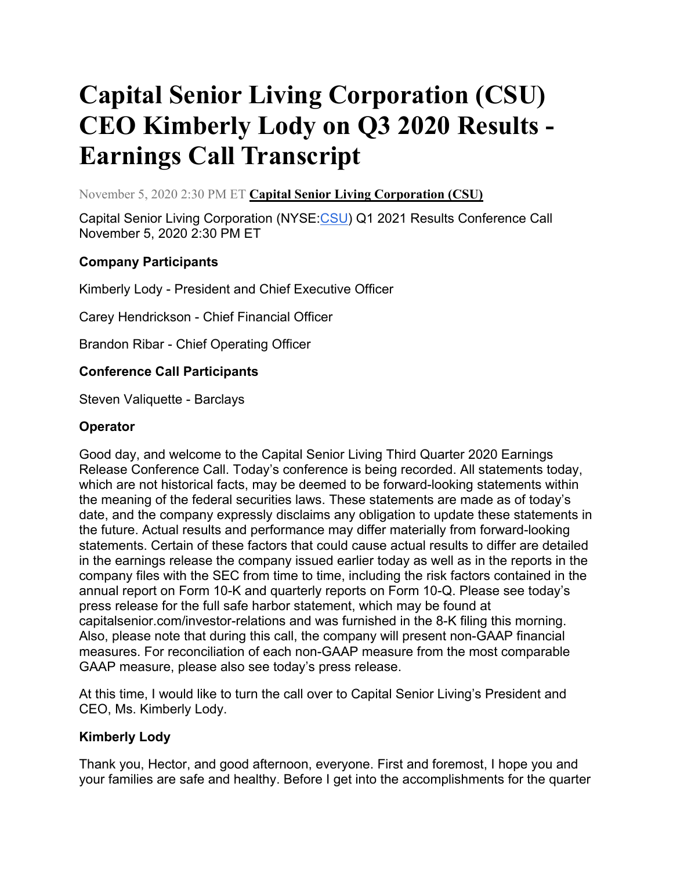# **Capital Senior Living Corporation [\(CSU\)](https://seekingalpha.com/symbol/CSU) CEO Kimberly Lody on Q3 2020 Results - Earnings Call Transcript**

November 5, 2020 2:30 PM ET **[Capital Senior Living Corporation \(CSU\)](https://seekingalpha.com/symbol/CSU?source=content_type%3Areact%7Csection%3Amain_content%7Csection_asset%3Ameta%7Cfirst_level_url%3Aarticle%7Csymbol%3ACSU)**

Capital Senior Living Corporation (NYSE[:CSU\)](https://seekingalpha.com/symbol/CSU?source=content_type%3Areact%7Csection%3Amain_content%7Cbutton%3Abody_link) Q1 2021 Results Conference Call November 5, 2020 2:30 PM ET

# **Company Participants**

Kimberly Lody - President and Chief Executive Officer

Carey Hendrickson - Chief Financial Officer

Brandon Ribar - Chief Operating Officer

#### **Conference Call Participants**

Steven Valiquette - Barclays

#### **Operator**

Good day, and welcome to the Capital Senior Living Third Quarter 2020 Earnings Release Conference Call. Today's conference is being recorded. All statements today, which are not historical facts, may be deemed to be forward-looking statements within the meaning of the federal securities laws. These statements are made as of today's date, and the company expressly disclaims any obligation to update these statements in the future. Actual results and performance may differ materially from forward-looking statements. Certain of these factors that could cause actual results to differ are detailed in the earnings release the company issued earlier today as well as in the reports in the company files with the SEC from time to time, including the risk factors contained in the annual report on Form 10-K and quarterly reports on Form 10-Q. Please see today's press release for the full safe harbor statement, which may be found at capitalsenior.com/investor-relations and was furnished in the 8-K filing this morning. Also, please note that during this call, the company will present non-GAAP financial measures. For reconciliation of each non-GAAP measure from the most comparable GAAP measure, please also see today's press release.

At this time, I would like to turn the call over to Capital Senior Living's President and CEO, Ms. Kimberly Lody.

# **Kimberly Lody**

Thank you, Hector, and good afternoon, everyone. First and foremost, I hope you and your families are safe and healthy. Before I get into the accomplishments for the quarter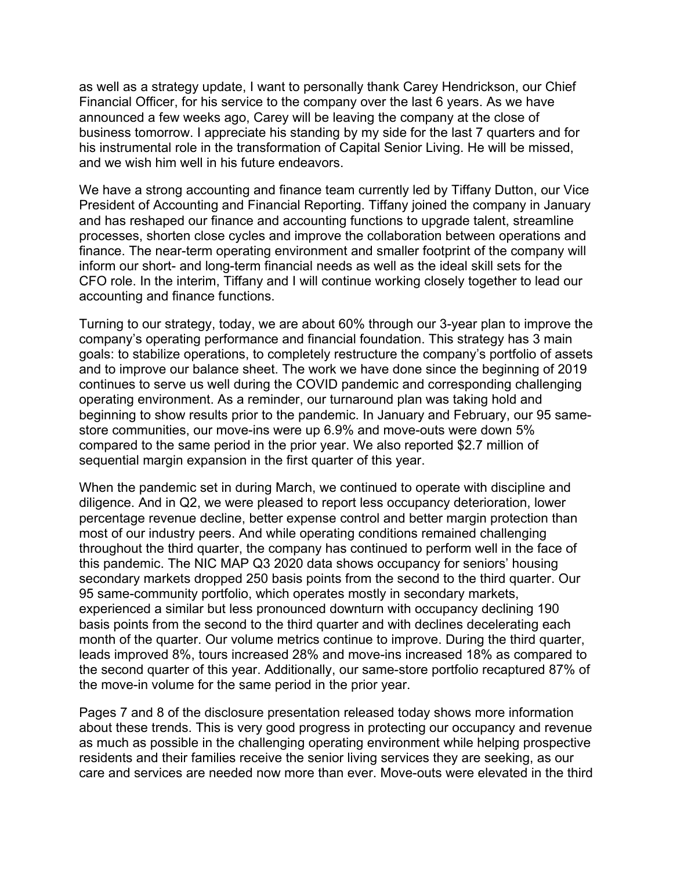as well as a strategy update, I want to personally thank Carey Hendrickson, our Chief Financial Officer, for his service to the company over the last 6 years. As we have announced a few weeks ago, Carey will be leaving the company at the close of business tomorrow. I appreciate his standing by my side for the last 7 quarters and for his instrumental role in the transformation of Capital Senior Living. He will be missed, and we wish him well in his future endeavors.

We have a strong accounting and finance team currently led by Tiffany Dutton, our Vice President of Accounting and Financial Reporting. Tiffany joined the company in January and has reshaped our finance and accounting functions to upgrade talent, streamline processes, shorten close cycles and improve the collaboration between operations and finance. The near-term operating environment and smaller footprint of the company will inform our short- and long-term financial needs as well as the ideal skill sets for the CFO role. In the interim, Tiffany and I will continue working closely together to lead our accounting and finance functions.

Turning to our strategy, today, we are about 60% through our 3-year plan to improve the company's operating performance and financial foundation. This strategy has 3 main goals: to stabilize operations, to completely restructure the company's portfolio of assets and to improve our balance sheet. The work we have done since the beginning of 2019 continues to serve us well during the COVID pandemic and corresponding challenging operating environment. As a reminder, our turnaround plan was taking hold and beginning to show results prior to the pandemic. In January and February, our 95 samestore communities, our move-ins were up 6.9% and move-outs were down 5% compared to the same period in the prior year. We also reported \$2.7 million of sequential margin expansion in the first quarter of this year.

When the pandemic set in during March, we continued to operate with discipline and diligence. And in Q2, we were pleased to report less occupancy deterioration, lower percentage revenue decline, better expense control and better margin protection than most of our industry peers. And while operating conditions remained challenging throughout the third quarter, the company has continued to perform well in the face of this pandemic. The NIC MAP Q3 2020 data shows occupancy for seniors' housing secondary markets dropped 250 basis points from the second to the third quarter. Our 95 same-community portfolio, which operates mostly in secondary markets, experienced a similar but less pronounced downturn with occupancy declining 190 basis points from the second to the third quarter and with declines decelerating each month of the quarter. Our volume metrics continue to improve. During the third quarter, leads improved 8%, tours increased 28% and move-ins increased 18% as compared to the second quarter of this year. Additionally, our same-store portfolio recaptured 87% of the move-in volume for the same period in the prior year.

Pages 7 and 8 of the disclosure presentation released today shows more information about these trends. This is very good progress in protecting our occupancy and revenue as much as possible in the challenging operating environment while helping prospective residents and their families receive the senior living services they are seeking, as our care and services are needed now more than ever. Move-outs were elevated in the third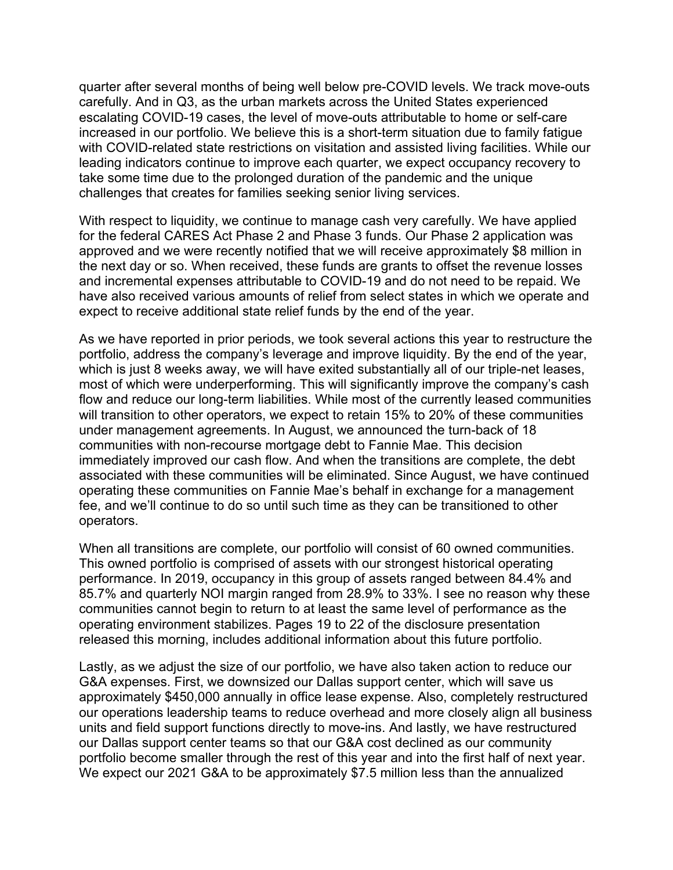quarter after several months of being well below pre-COVID levels. We track move-outs carefully. And in Q3, as the urban markets across the United States experienced escalating COVID-19 cases, the level of move-outs attributable to home or self-care increased in our portfolio. We believe this is a short-term situation due to family fatigue with COVID-related state restrictions on visitation and assisted living facilities. While our leading indicators continue to improve each quarter, we expect occupancy recovery to take some time due to the prolonged duration of the pandemic and the unique challenges that creates for families seeking senior living services.

With respect to liquidity, we continue to manage cash very carefully. We have applied for the federal CARES Act Phase 2 and Phase 3 funds. Our Phase 2 application was approved and we were recently notified that we will receive approximately \$8 million in the next day or so. When received, these funds are grants to offset the revenue losses and incremental expenses attributable to COVID-19 and do not need to be repaid. We have also received various amounts of relief from select states in which we operate and expect to receive additional state relief funds by the end of the year.

As we have reported in prior periods, we took several actions this year to restructure the portfolio, address the company's leverage and improve liquidity. By the end of the year, which is just 8 weeks away, we will have exited substantially all of our triple-net leases, most of which were underperforming. This will significantly improve the company's cash flow and reduce our long-term liabilities. While most of the currently leased communities will transition to other operators, we expect to retain 15% to 20% of these communities under management agreements. In August, we announced the turn-back of 18 communities with non-recourse mortgage debt to Fannie Mae. This decision immediately improved our cash flow. And when the transitions are complete, the debt associated with these communities will be eliminated. Since August, we have continued operating these communities on Fannie Mae's behalf in exchange for a management fee, and we'll continue to do so until such time as they can be transitioned to other operators.

When all transitions are complete, our portfolio will consist of 60 owned communities. This owned portfolio is comprised of assets with our strongest historical operating performance. In 2019, occupancy in this group of assets ranged between 84.4% and 85.7% and quarterly NOI margin ranged from 28.9% to 33%. I see no reason why these communities cannot begin to return to at least the same level of performance as the operating environment stabilizes. Pages 19 to 22 of the disclosure presentation released this morning, includes additional information about this future portfolio.

Lastly, as we adjust the size of our portfolio, we have also taken action to reduce our G&A expenses. First, we downsized our Dallas support center, which will save us approximately \$450,000 annually in office lease expense. Also, completely restructured our operations leadership teams to reduce overhead and more closely align all business units and field support functions directly to move-ins. And lastly, we have restructured our Dallas support center teams so that our G&A cost declined as our community portfolio become smaller through the rest of this year and into the first half of next year. We expect our 2021 G&A to be approximately \$7.5 million less than the annualized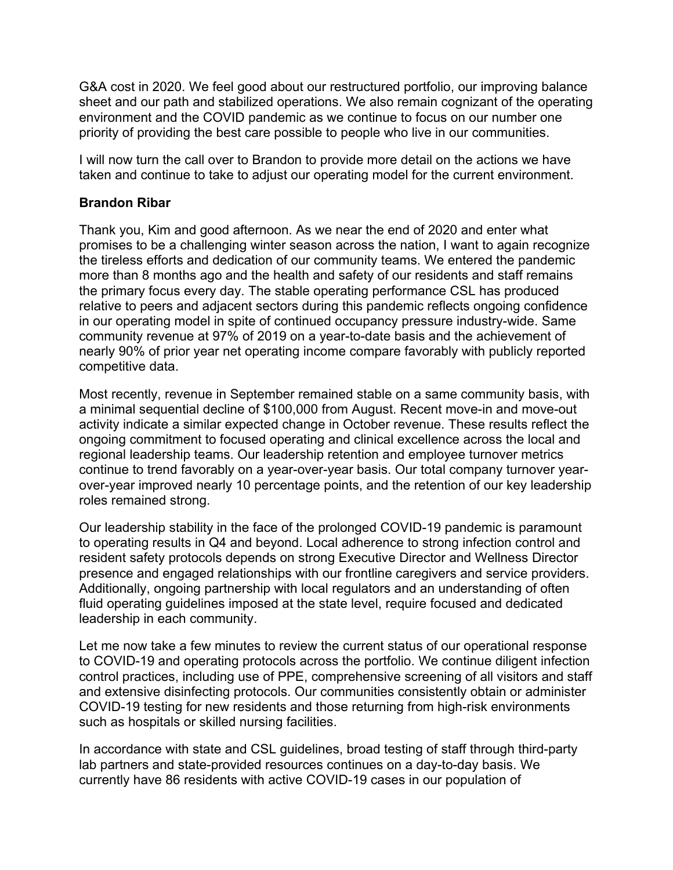G&A cost in 2020. We feel good about our restructured portfolio, our improving balance sheet and our path and stabilized operations. We also remain cognizant of the operating environment and the COVID pandemic as we continue to focus on our number one priority of providing the best care possible to people who live in our communities.

I will now turn the call over to Brandon to provide more detail on the actions we have taken and continue to take to adjust our operating model for the current environment.

#### **Brandon Ribar**

Thank you, Kim and good afternoon. As we near the end of 2020 and enter what promises to be a challenging winter season across the nation, I want to again recognize the tireless efforts and dedication of our community teams. We entered the pandemic more than 8 months ago and the health and safety of our residents and staff remains the primary focus every day. The stable operating performance CSL has produced relative to peers and adjacent sectors during this pandemic reflects ongoing confidence in our operating model in spite of continued occupancy pressure industry-wide. Same community revenue at 97% of 2019 on a year-to-date basis and the achievement of nearly 90% of prior year net operating income compare favorably with publicly reported competitive data.

Most recently, revenue in September remained stable on a same community basis, with a minimal sequential decline of \$100,000 from August. Recent move-in and move-out activity indicate a similar expected change in October revenue. These results reflect the ongoing commitment to focused operating and clinical excellence across the local and regional leadership teams. Our leadership retention and employee turnover metrics continue to trend favorably on a year-over-year basis. Our total company turnover yearover-year improved nearly 10 percentage points, and the retention of our key leadership roles remained strong.

Our leadership stability in the face of the prolonged COVID-19 pandemic is paramount to operating results in Q4 and beyond. Local adherence to strong infection control and resident safety protocols depends on strong Executive Director and Wellness Director presence and engaged relationships with our frontline caregivers and service providers. Additionally, ongoing partnership with local regulators and an understanding of often fluid operating guidelines imposed at the state level, require focused and dedicated leadership in each community.

Let me now take a few minutes to review the current status of our operational response to COVID-19 and operating protocols across the portfolio. We continue diligent infection control practices, including use of PPE, comprehensive screening of all visitors and staff and extensive disinfecting protocols. Our communities consistently obtain or administer COVID-19 testing for new residents and those returning from high-risk environments such as hospitals or skilled nursing facilities.

In accordance with state and CSL guidelines, broad testing of staff through third-party lab partners and state-provided resources continues on a day-to-day basis. We currently have 86 residents with active COVID-19 cases in our population of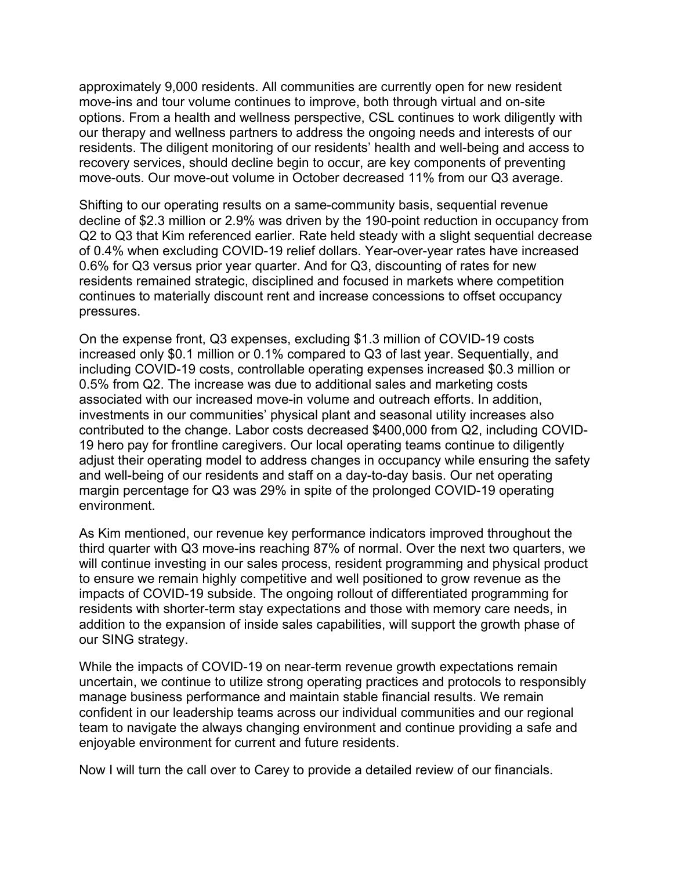approximately 9,000 residents. All communities are currently open for new resident move-ins and tour volume continues to improve, both through virtual and on-site options. From a health and wellness perspective, CSL continues to work diligently with our therapy and wellness partners to address the ongoing needs and interests of our residents. The diligent monitoring of our residents' health and well-being and access to recovery services, should decline begin to occur, are key components of preventing move-outs. Our move-out volume in October decreased 11% from our Q3 average.

Shifting to our operating results on a same-community basis, sequential revenue decline of \$2.3 million or 2.9% was driven by the 190-point reduction in occupancy from Q2 to Q3 that Kim referenced earlier. Rate held steady with a slight sequential decrease of 0.4% when excluding COVID-19 relief dollars. Year-over-year rates have increased 0.6% for Q3 versus prior year quarter. And for Q3, discounting of rates for new residents remained strategic, disciplined and focused in markets where competition continues to materially discount rent and increase concessions to offset occupancy pressures.

On the expense front, Q3 expenses, excluding \$1.3 million of COVID-19 costs increased only \$0.1 million or 0.1% compared to Q3 of last year. Sequentially, and including COVID-19 costs, controllable operating expenses increased \$0.3 million or 0.5% from Q2. The increase was due to additional sales and marketing costs associated with our increased move-in volume and outreach efforts. In addition, investments in our communities' physical plant and seasonal utility increases also contributed to the change. Labor costs decreased \$400,000 from Q2, including COVID-19 hero pay for frontline caregivers. Our local operating teams continue to diligently adjust their operating model to address changes in occupancy while ensuring the safety and well-being of our residents and staff on a day-to-day basis. Our net operating margin percentage for Q3 was 29% in spite of the prolonged COVID-19 operating environment.

As Kim mentioned, our revenue key performance indicators improved throughout the third quarter with Q3 move-ins reaching 87% of normal. Over the next two quarters, we will continue investing in our sales process, resident programming and physical product to ensure we remain highly competitive and well positioned to grow revenue as the impacts of COVID-19 subside. The ongoing rollout of differentiated programming for residents with shorter-term stay expectations and those with memory care needs, in addition to the expansion of inside sales capabilities, will support the growth phase of our SING strategy.

While the impacts of COVID-19 on near-term revenue growth expectations remain uncertain, we continue to utilize strong operating practices and protocols to responsibly manage business performance and maintain stable financial results. We remain confident in our leadership teams across our individual communities and our regional team to navigate the always changing environment and continue providing a safe and enjoyable environment for current and future residents.

Now I will turn the call over to Carey to provide a detailed review of our financials.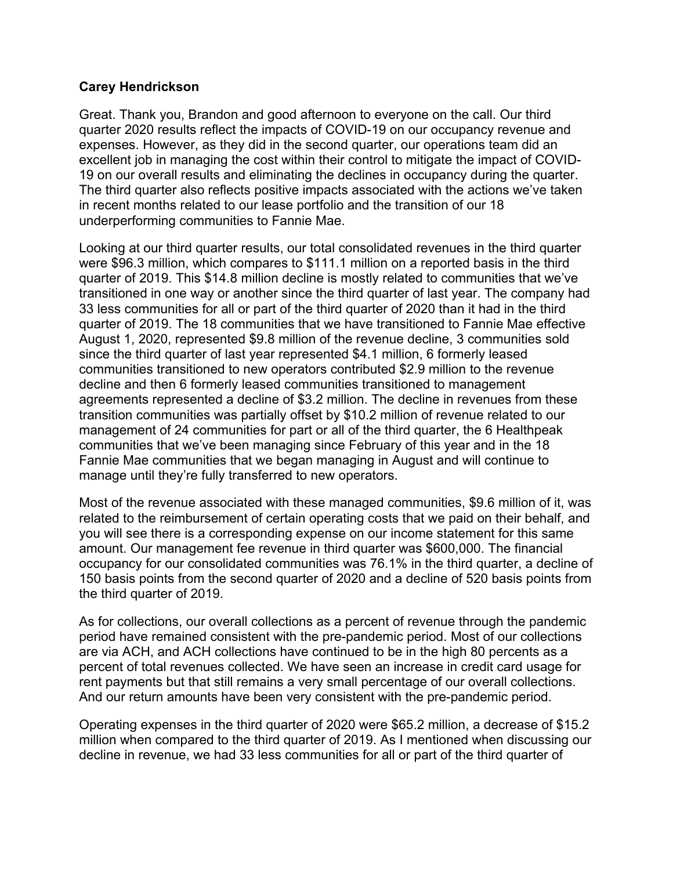#### **Carey Hendrickson**

Great. Thank you, Brandon and good afternoon to everyone on the call. Our third quarter 2020 results reflect the impacts of COVID-19 on our occupancy revenue and expenses. However, as they did in the second quarter, our operations team did an excellent job in managing the cost within their control to mitigate the impact of COVID-19 on our overall results and eliminating the declines in occupancy during the quarter. The third quarter also reflects positive impacts associated with the actions we've taken in recent months related to our lease portfolio and the transition of our 18 underperforming communities to Fannie Mae.

Looking at our third quarter results, our total consolidated revenues in the third quarter were \$96.3 million, which compares to \$111.1 million on a reported basis in the third quarter of 2019. This \$14.8 million decline is mostly related to communities that we've transitioned in one way or another since the third quarter of last year. The company had 33 less communities for all or part of the third quarter of 2020 than it had in the third quarter of 2019. The 18 communities that we have transitioned to Fannie Mae effective August 1, 2020, represented \$9.8 million of the revenue decline, 3 communities sold since the third quarter of last year represented \$4.1 million, 6 formerly leased communities transitioned to new operators contributed \$2.9 million to the revenue decline and then 6 formerly leased communities transitioned to management agreements represented a decline of \$3.2 million. The decline in revenues from these transition communities was partially offset by \$10.2 million of revenue related to our management of 24 communities for part or all of the third quarter, the 6 Healthpeak communities that we've been managing since February of this year and in the 18 Fannie Mae communities that we began managing in August and will continue to manage until they're fully transferred to new operators.

Most of the revenue associated with these managed communities, \$9.6 million of it, was related to the reimbursement of certain operating costs that we paid on their behalf, and you will see there is a corresponding expense on our income statement for this same amount. Our management fee revenue in third quarter was \$600,000. The financial occupancy for our consolidated communities was 76.1% in the third quarter, a decline of 150 basis points from the second quarter of 2020 and a decline of 520 basis points from the third quarter of 2019.

As for collections, our overall collections as a percent of revenue through the pandemic period have remained consistent with the pre-pandemic period. Most of our collections are via ACH, and ACH collections have continued to be in the high 80 percents as a percent of total revenues collected. We have seen an increase in credit card usage for rent payments but that still remains a very small percentage of our overall collections. And our return amounts have been very consistent with the pre-pandemic period.

Operating expenses in the third quarter of 2020 were \$65.2 million, a decrease of \$15.2 million when compared to the third quarter of 2019. As I mentioned when discussing our decline in revenue, we had 33 less communities for all or part of the third quarter of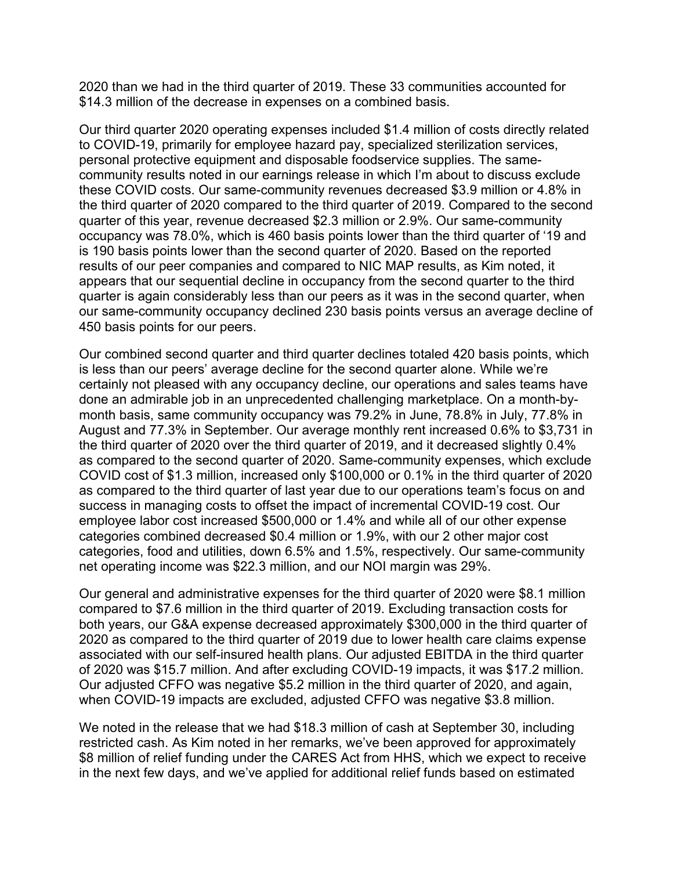2020 than we had in the third quarter of 2019. These 33 communities accounted for \$14.3 million of the decrease in expenses on a combined basis.

Our third quarter 2020 operating expenses included \$1.4 million of costs directly related to COVID-19, primarily for employee hazard pay, specialized sterilization services, personal protective equipment and disposable foodservice supplies. The samecommunity results noted in our earnings release in which I'm about to discuss exclude these COVID costs. Our same-community revenues decreased \$3.9 million or 4.8% in the third quarter of 2020 compared to the third quarter of 2019. Compared to the second quarter of this year, revenue decreased \$2.3 million or 2.9%. Our same-community occupancy was 78.0%, which is 460 basis points lower than the third quarter of '19 and is 190 basis points lower than the second quarter of 2020. Based on the reported results of our peer companies and compared to NIC MAP results, as Kim noted, it appears that our sequential decline in occupancy from the second quarter to the third quarter is again considerably less than our peers as it was in the second quarter, when our same-community occupancy declined 230 basis points versus an average decline of 450 basis points for our peers.

Our combined second quarter and third quarter declines totaled 420 basis points, which is less than our peers' average decline for the second quarter alone. While we're certainly not pleased with any occupancy decline, our operations and sales teams have done an admirable job in an unprecedented challenging marketplace. On a month-bymonth basis, same community occupancy was 79.2% in June, 78.8% in July, 77.8% in August and 77.3% in September. Our average monthly rent increased 0.6% to \$3,731 in the third quarter of 2020 over the third quarter of 2019, and it decreased slightly 0.4% as compared to the second quarter of 2020. Same-community expenses, which exclude COVID cost of \$1.3 million, increased only \$100,000 or 0.1% in the third quarter of 2020 as compared to the third quarter of last year due to our operations team's focus on and success in managing costs to offset the impact of incremental COVID-19 cost. Our employee labor cost increased \$500,000 or 1.4% and while all of our other expense categories combined decreased \$0.4 million or 1.9%, with our 2 other major cost categories, food and utilities, down 6.5% and 1.5%, respectively. Our same-community net operating income was \$22.3 million, and our NOI margin was 29%.

Our general and administrative expenses for the third quarter of 2020 were \$8.1 million compared to \$7.6 million in the third quarter of 2019. Excluding transaction costs for both years, our G&A expense decreased approximately \$300,000 in the third quarter of 2020 as compared to the third quarter of 2019 due to lower health care claims expense associated with our self-insured health plans. Our adjusted EBITDA in the third quarter of 2020 was \$15.7 million. And after excluding COVID-19 impacts, it was \$17.2 million. Our adjusted CFFO was negative \$5.2 million in the third quarter of 2020, and again, when COVID-19 impacts are excluded, adjusted CFFO was negative \$3.8 million.

We noted in the release that we had \$18.3 million of cash at September 30, including restricted cash. As Kim noted in her remarks, we've been approved for approximately \$8 million of relief funding under the CARES Act from HHS, which we expect to receive in the next few days, and we've applied for additional relief funds based on estimated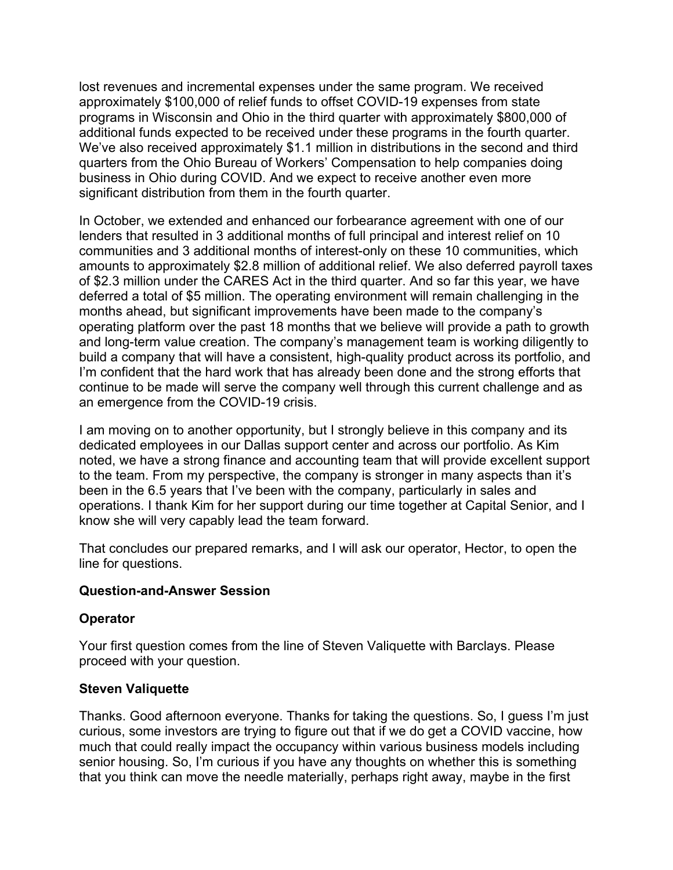lost revenues and incremental expenses under the same program. We received approximately \$100,000 of relief funds to offset COVID-19 expenses from state programs in Wisconsin and Ohio in the third quarter with approximately \$800,000 of additional funds expected to be received under these programs in the fourth quarter. We've also received approximately \$1.1 million in distributions in the second and third quarters from the Ohio Bureau of Workers' Compensation to help companies doing business in Ohio during COVID. And we expect to receive another even more significant distribution from them in the fourth quarter.

In October, we extended and enhanced our forbearance agreement with one of our lenders that resulted in 3 additional months of full principal and interest relief on 10 communities and 3 additional months of interest-only on these 10 communities, which amounts to approximately \$2.8 million of additional relief. We also deferred payroll taxes of \$2.3 million under the CARES Act in the third quarter. And so far this year, we have deferred a total of \$5 million. The operating environment will remain challenging in the months ahead, but significant improvements have been made to the company's operating platform over the past 18 months that we believe will provide a path to growth and long-term value creation. The company's management team is working diligently to build a company that will have a consistent, high-quality product across its portfolio, and I'm confident that the hard work that has already been done and the strong efforts that continue to be made will serve the company well through this current challenge and as an emergence from the COVID-19 crisis.

I am moving on to another opportunity, but I strongly believe in this company and its dedicated employees in our Dallas support center and across our portfolio. As Kim noted, we have a strong finance and accounting team that will provide excellent support to the team. From my perspective, the company is stronger in many aspects than it's been in the 6.5 years that I've been with the company, particularly in sales and operations. I thank Kim for her support during our time together at Capital Senior, and I know she will very capably lead the team forward.

That concludes our prepared remarks, and I will ask our operator, Hector, to open the line for questions.

#### **Question-and-Answer Session**

# **Operator**

Your first question comes from the line of Steven Valiquette with Barclays. Please proceed with your question.

# **Steven Valiquette**

Thanks. Good afternoon everyone. Thanks for taking the questions. So, I guess I'm just curious, some investors are trying to figure out that if we do get a COVID vaccine, how much that could really impact the occupancy within various business models including senior housing. So, I'm curious if you have any thoughts on whether this is something that you think can move the needle materially, perhaps right away, maybe in the first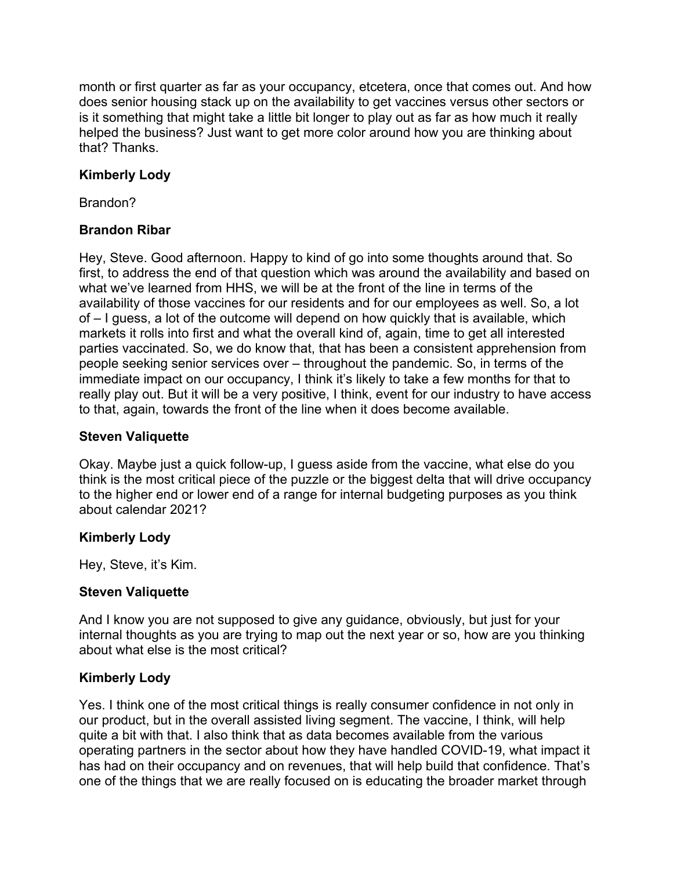month or first quarter as far as your occupancy, etcetera, once that comes out. And how does senior housing stack up on the availability to get vaccines versus other sectors or is it something that might take a little bit longer to play out as far as how much it really helped the business? Just want to get more color around how you are thinking about that? Thanks.

# **Kimberly Lody**

Brandon?

# **Brandon Ribar**

Hey, Steve. Good afternoon. Happy to kind of go into some thoughts around that. So first, to address the end of that question which was around the availability and based on what we've learned from HHS, we will be at the front of the line in terms of the availability of those vaccines for our residents and for our employees as well. So, a lot of – I guess, a lot of the outcome will depend on how quickly that is available, which markets it rolls into first and what the overall kind of, again, time to get all interested parties vaccinated. So, we do know that, that has been a consistent apprehension from people seeking senior services over – throughout the pandemic. So, in terms of the immediate impact on our occupancy, I think it's likely to take a few months for that to really play out. But it will be a very positive, I think, event for our industry to have access to that, again, towards the front of the line when it does become available.

#### **Steven Valiquette**

Okay. Maybe just a quick follow-up, I guess aside from the vaccine, what else do you think is the most critical piece of the puzzle or the biggest delta that will drive occupancy to the higher end or lower end of a range for internal budgeting purposes as you think about calendar 2021?

# **Kimberly Lody**

Hey, Steve, it's Kim.

# **Steven Valiquette**

And I know you are not supposed to give any guidance, obviously, but just for your internal thoughts as you are trying to map out the next year or so, how are you thinking about what else is the most critical?

# **Kimberly Lody**

Yes. I think one of the most critical things is really consumer confidence in not only in our product, but in the overall assisted living segment. The vaccine, I think, will help quite a bit with that. I also think that as data becomes available from the various operating partners in the sector about how they have handled COVID-19, what impact it has had on their occupancy and on revenues, that will help build that confidence. That's one of the things that we are really focused on is educating the broader market through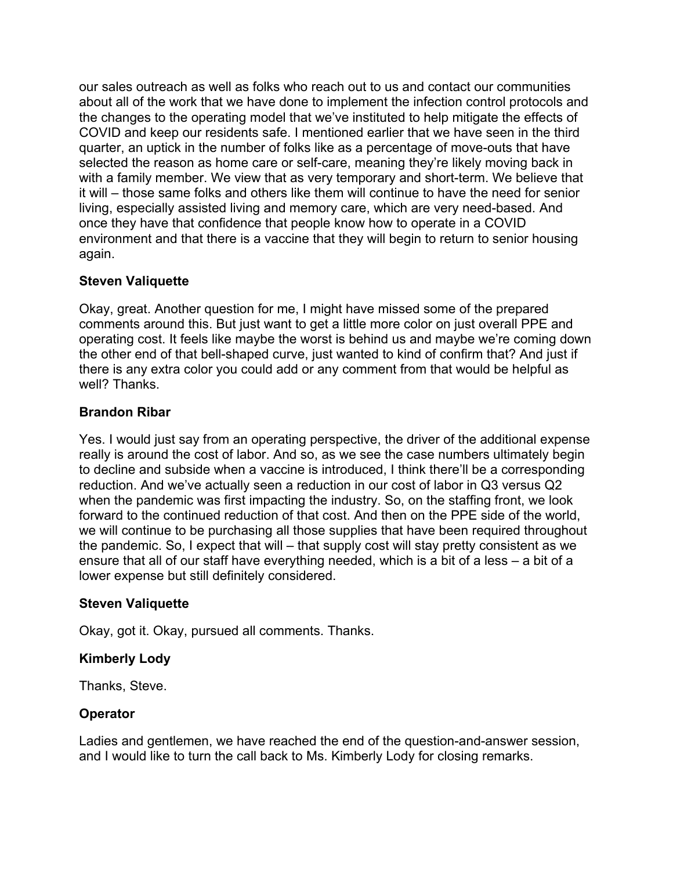our sales outreach as well as folks who reach out to us and contact our communities about all of the work that we have done to implement the infection control protocols and the changes to the operating model that we've instituted to help mitigate the effects of COVID and keep our residents safe. I mentioned earlier that we have seen in the third quarter, an uptick in the number of folks like as a percentage of move-outs that have selected the reason as home care or self-care, meaning they're likely moving back in with a family member. We view that as very temporary and short-term. We believe that it will – those same folks and others like them will continue to have the need for senior living, especially assisted living and memory care, which are very need-based. And once they have that confidence that people know how to operate in a COVID environment and that there is a vaccine that they will begin to return to senior housing again.

# **Steven Valiquette**

Okay, great. Another question for me, I might have missed some of the prepared comments around this. But just want to get a little more color on just overall PPE and operating cost. It feels like maybe the worst is behind us and maybe we're coming down the other end of that bell-shaped curve, just wanted to kind of confirm that? And just if there is any extra color you could add or any comment from that would be helpful as well? Thanks.

#### **Brandon Ribar**

Yes. I would just say from an operating perspective, the driver of the additional expense really is around the cost of labor. And so, as we see the case numbers ultimately begin to decline and subside when a vaccine is introduced, I think there'll be a corresponding reduction. And we've actually seen a reduction in our cost of labor in Q3 versus Q2 when the pandemic was first impacting the industry. So, on the staffing front, we look forward to the continued reduction of that cost. And then on the PPE side of the world, we will continue to be purchasing all those supplies that have been required throughout the pandemic. So, I expect that will – that supply cost will stay pretty consistent as we ensure that all of our staff have everything needed, which is a bit of a less – a bit of a lower expense but still definitely considered.

#### **Steven Valiquette**

Okay, got it. Okay, pursued all comments. Thanks.

# **Kimberly Lody**

Thanks, Steve.

# **Operator**

Ladies and gentlemen, we have reached the end of the question-and-answer session, and I would like to turn the call back to Ms. Kimberly Lody for closing remarks.